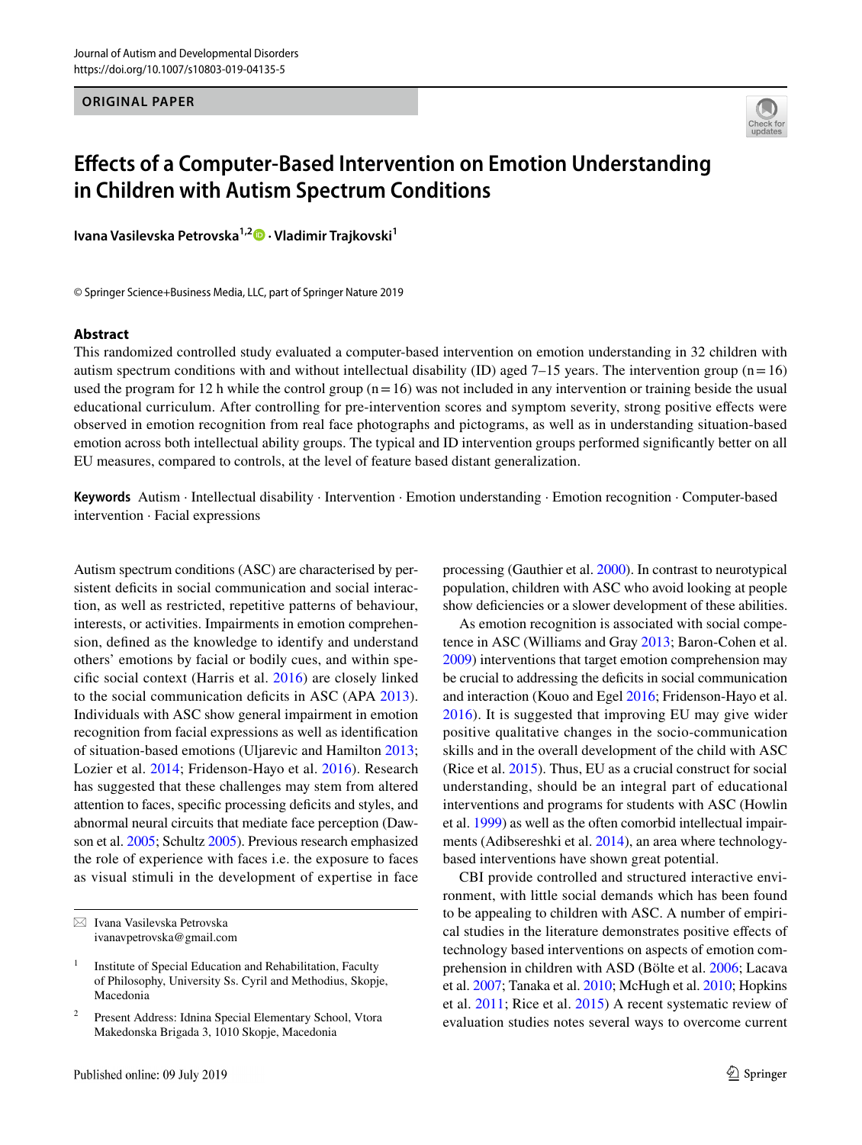**ORIGINAL PAPER**



# **Efects of a Computer‑Based Intervention on Emotion Understanding in Children with Autism Spectrum Conditions**

**IvanaVasilevska Petrovska<sup>1,2</sup><sup>0</sup> · Vladimir Trajkovski<sup>1</sup>** 

© Springer Science+Business Media, LLC, part of Springer Nature 2019

#### **Abstract**

This randomized controlled study evaluated a computer-based intervention on emotion understanding in 32 children with autism spectrum conditions with and without intellectual disability (ID) aged  $7-15$  years. The intervention group (n=16) used the program for 12 h while the control group  $(n=16)$  was not included in any intervention or training beside the usual educational curriculum. After controlling for pre-intervention scores and symptom severity, strong positive efects were observed in emotion recognition from real face photographs and pictograms, as well as in understanding situation-based emotion across both intellectual ability groups. The typical and ID intervention groups performed signifcantly better on all EU measures, compared to controls, at the level of feature based distant generalization.

**Keywords** Autism · Intellectual disability · Intervention · Emotion understanding · Emotion recognition · Computer-based intervention · Facial expressions

Autism spectrum conditions (ASC) are characterised by persistent deficits in social communication and social interaction, as well as restricted, repetitive patterns of behaviour, interests, or activities. Impairments in emotion comprehension, defned as the knowledge to identify and understand others' emotions by facial or bodily cues, and within specifc social context (Harris et al. [2016](#page-10-0)) are closely linked to the social communication deficits in ASC (APA [2013](#page-10-1)). Individuals with ASC show general impairment in emotion recognition from facial expressions as well as identifcation of situation-based emotions (Uljarevic and Hamilton [2013](#page-11-0); Lozier et al. [2014](#page-10-2); Fridenson-Hayo et al. [2016](#page-10-3)). Research has suggested that these challenges may stem from altered attention to faces, specifc processing defcits and styles, and abnormal neural circuits that mediate face perception (Dawson et al. [2005](#page-10-4); Schultz [2005\)](#page-11-1). Previous research emphasized the role of experience with faces i.e. the exposure to faces as visual stimuli in the development of expertise in face processing (Gauthier et al. [2000](#page-10-5)). In contrast to neurotypical population, children with ASC who avoid looking at people show deficiencies or a slower development of these abilities.

As emotion recognition is associated with social competence in ASC (Williams and Gray [2013](#page-11-2); Baron-Cohen et al. [2009](#page-10-6)) interventions that target emotion comprehension may be crucial to addressing the deficits in social communication and interaction (Kouo and Egel [2016;](#page-10-7) Fridenson-Hayo et al. [2016\)](#page-10-3). It is suggested that improving EU may give wider positive qualitative changes in the socio-communication skills and in the overall development of the child with ASC (Rice et al. [2015\)](#page-11-3). Thus, EU as a crucial construct for social understanding, should be an integral part of educational interventions and programs for students with ASC (Howlin et al. [1999\)](#page-10-8) as well as the often comorbid intellectual impairments (Adibsereshki et al. [2014\)](#page-10-9), an area where technologybased interventions have shown great potential.

CBI provide controlled and structured interactive environment, with little social demands which has been found to be appealing to children with ASC. A number of empirical studies in the literature demonstrates positive efects of technology based interventions on aspects of emotion comprehension in children with ASD (Bölte et al. [2006;](#page-10-10) Lacava et al. [2007;](#page-10-11) Tanaka et al. [2010](#page-11-4); McHugh et al. [2010;](#page-10-12) Hopkins et al. [2011;](#page-10-13) Rice et al. [2015\)](#page-11-3) A recent systematic review of evaluation studies notes several ways to overcome current

 $\boxtimes$  Ivana Vasilevska Petrovska ivanavpetrovska@gmail.com

 $1$  Institute of Special Education and Rehabilitation, Faculty of Philosophy, University Ss. Cyril and Methodius, Skopje, Macedonia

<sup>2</sup> Present Address: Idnina Special Elementary School, Vtora Makedonska Brigada 3, 1010 Skopje, Macedonia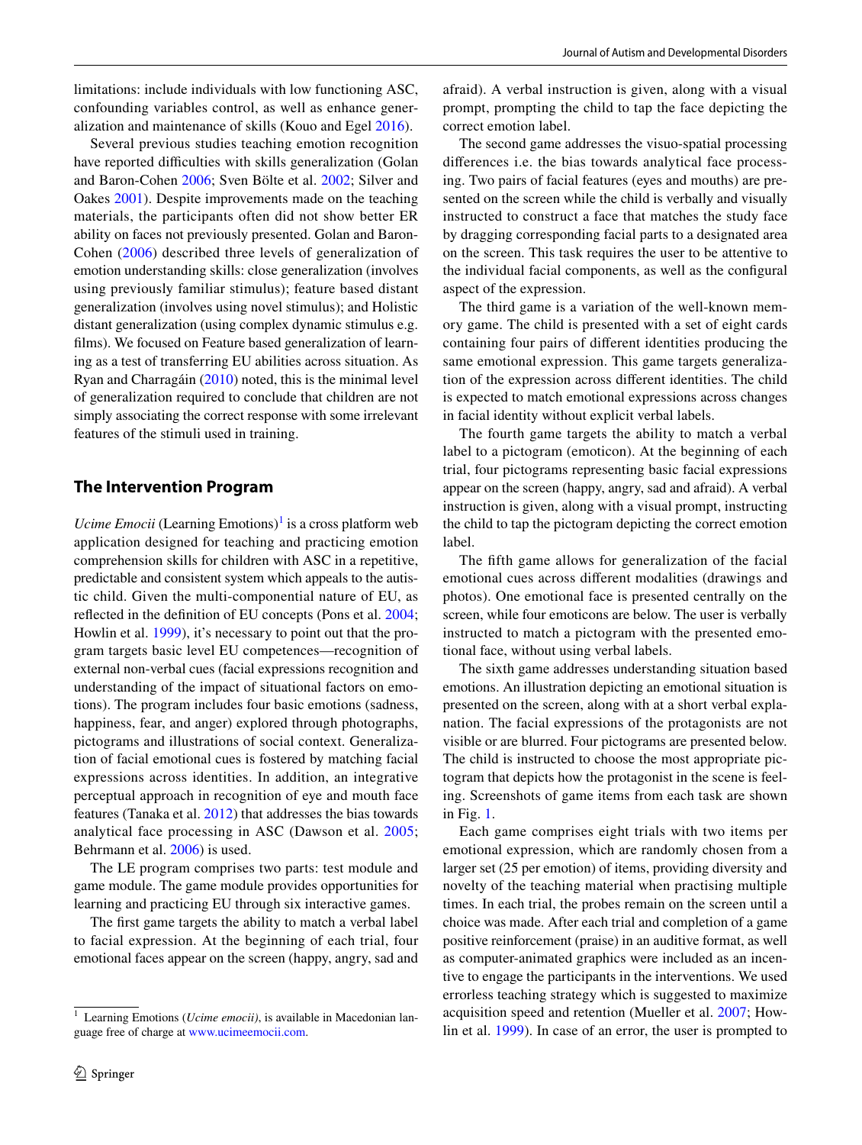limitations: include individuals with low functioning ASC, confounding variables control, as well as enhance generalization and maintenance of skills (Kouo and Egel [2016\)](#page-10-7).

Several previous studies teaching emotion recognition have reported difficulties with skills generalization (Golan and Baron-Cohen [2006;](#page-10-14) Sven Bölte et al. [2002](#page-10-15); Silver and Oakes [2001](#page-11-5)). Despite improvements made on the teaching materials, the participants often did not show better ER ability on faces not previously presented. Golan and Baron-Cohen ([2006](#page-10-14)) described three levels of generalization of emotion understanding skills: close generalization (involves using previously familiar stimulus); feature based distant generalization (involves using novel stimulus); and Holistic distant generalization (using complex dynamic stimulus e.g. flms). We focused on Feature based generalization of learning as a test of transferring EU abilities across situation. As Ryan and Charragáin [\(2010](#page-11-6)) noted, this is the minimal level of generalization required to conclude that children are not simply associating the correct response with some irrelevant features of the stimuli used in training.

## **The Intervention Program**

*Ucime Emocii* (Learning Emotions)<sup>[1](#page-1-0)</sup> is a cross platform web application designed for teaching and practicing emotion comprehension skills for children with ASC in a repetitive, predictable and consistent system which appeals to the autistic child. Given the multi-componential nature of EU, as refected in the defnition of EU concepts (Pons et al. [2004](#page-11-7); Howlin et al. [1999\)](#page-10-8), it's necessary to point out that the program targets basic level EU competences—recognition of external non-verbal cues (facial expressions recognition and understanding of the impact of situational factors on emotions). The program includes four basic emotions (sadness, happiness, fear, and anger) explored through photographs, pictograms and illustrations of social context. Generalization of facial emotional cues is fostered by matching facial expressions across identities. In addition, an integrative perceptual approach in recognition of eye and mouth face features (Tanaka et al. [2012](#page-11-8)) that addresses the bias towards analytical face processing in ASC (Dawson et al. [2005](#page-10-4); Behrmann et al. [2006\)](#page-10-16) is used.

The LE program comprises two parts: test module and game module. The game module provides opportunities for learning and practicing EU through six interactive games.

The frst game targets the ability to match a verbal label to facial expression. At the beginning of each trial, four emotional faces appear on the screen (happy, angry, sad and afraid). A verbal instruction is given, along with a visual prompt, prompting the child to tap the face depicting the correct emotion label.

The second game addresses the visuo-spatial processing diferences i.e. the bias towards analytical face processing. Two pairs of facial features (eyes and mouths) are presented on the screen while the child is verbally and visually instructed to construct a face that matches the study face by dragging corresponding facial parts to a designated area on the screen. This task requires the user to be attentive to the individual facial components, as well as the confgural aspect of the expression.

The third game is a variation of the well-known memory game. The child is presented with a set of eight cards containing four pairs of diferent identities producing the same emotional expression. This game targets generalization of the expression across diferent identities. The child is expected to match emotional expressions across changes in facial identity without explicit verbal labels.

The fourth game targets the ability to match a verbal label to a pictogram (emoticon). At the beginning of each trial, four pictograms representing basic facial expressions appear on the screen (happy, angry, sad and afraid). A verbal instruction is given, along with a visual prompt, instructing the child to tap the pictogram depicting the correct emotion label.

The ffth game allows for generalization of the facial emotional cues across diferent modalities (drawings and photos). One emotional face is presented centrally on the screen, while four emoticons are below. The user is verbally instructed to match a pictogram with the presented emotional face, without using verbal labels.

The sixth game addresses understanding situation based emotions. An illustration depicting an emotional situation is presented on the screen, along with at a short verbal explanation. The facial expressions of the protagonists are not visible or are blurred. Four pictograms are presented below. The child is instructed to choose the most appropriate pictogram that depicts how the protagonist in the scene is feeling. Screenshots of game items from each task are shown in Fig. [1.](#page-2-0)

Each game comprises eight trials with two items per emotional expression, which are randomly chosen from a larger set (25 per emotion) of items, providing diversity and novelty of the teaching material when practising multiple times. In each trial, the probes remain on the screen until a choice was made. After each trial and completion of a game positive reinforcement (praise) in an auditive format, as well as computer-animated graphics were included as an incentive to engage the participants in the interventions. We used errorless teaching strategy which is suggested to maximize acquisition speed and retention (Mueller et al. [2007](#page-10-17); Howlin et al. [1999](#page-10-8)). In case of an error, the user is prompted to

<span id="page-1-0"></span><sup>&</sup>lt;sup>1</sup> Learning Emotions (*Ucime emocii*), is available in Macedonian language free of charge at [www.ucimeemocii.com](http://www.ucimeemocii.com).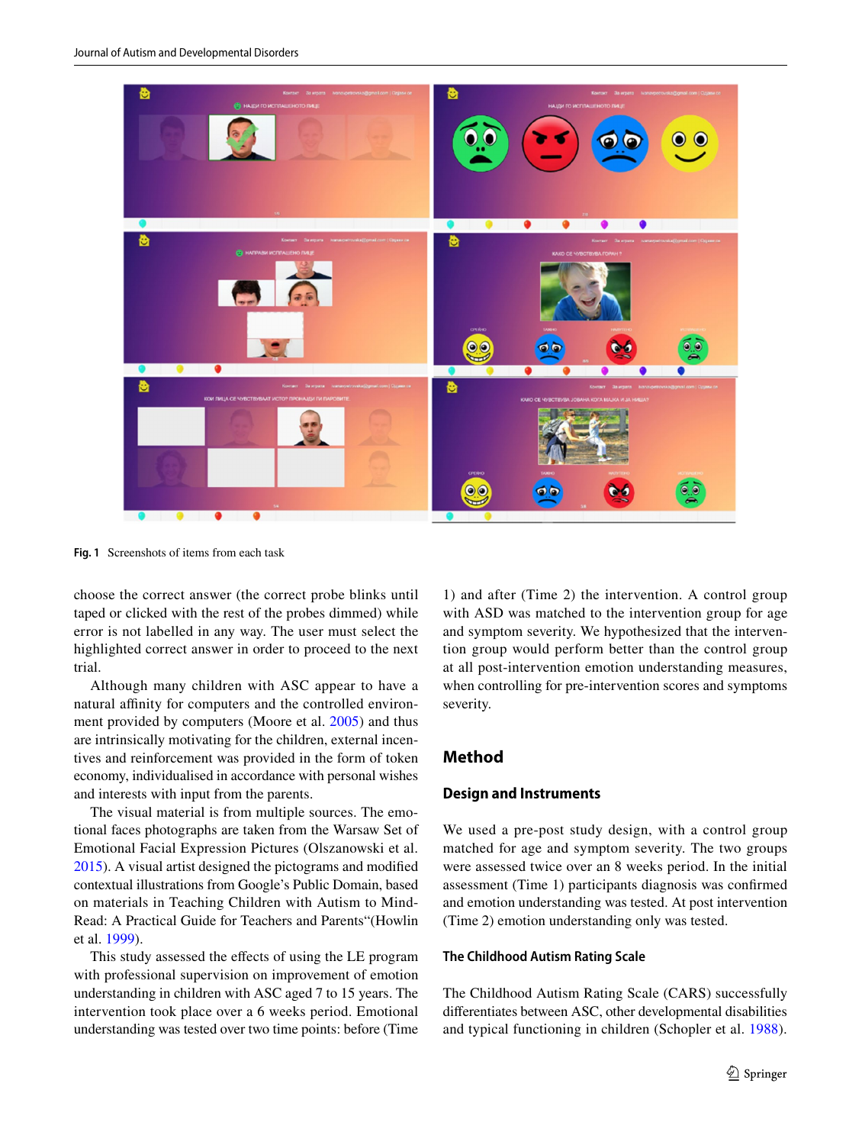

<span id="page-2-0"></span>**Fig. 1** Screenshots of items from each task

choose the correct answer (the correct probe blinks until taped or clicked with the rest of the probes dimmed) while error is not labelled in any way. The user must select the highlighted correct answer in order to proceed to the next trial.

Although many children with ASC appear to have a natural affinity for computers and the controlled environment provided by computers (Moore et al. [2005](#page-10-18)) and thus are intrinsically motivating for the children, external incentives and reinforcement was provided in the form of token economy, individualised in accordance with personal wishes and interests with input from the parents.

The visual material is from multiple sources. The emotional faces photographs are taken from the Warsaw Set of Emotional Facial Expression Pictures (Olszanowski et al. [2015](#page-11-9)). A visual artist designed the pictograms and modifed contextual illustrations from Google's Public Domain, based on materials in Teaching Children with Autism to Mind-Read: A Practical Guide for Teachers and Parents"(Howlin et al. [1999](#page-10-8)).

This study assessed the efects of using the LE program with professional supervision on improvement of emotion understanding in children with ASC aged 7 to 15 years. The intervention took place over a 6 weeks period. Emotional understanding was tested over two time points: before (Time

1) and after (Time 2) the intervention. A control group with ASD was matched to the intervention group for age and symptom severity. We hypothesized that the intervention group would perform better than the control group at all post-intervention emotion understanding measures, when controlling for pre-intervention scores and symptoms severity.

## **Method**

#### **Design and Instruments**

We used a pre-post study design, with a control group matched for age and symptom severity. The two groups were assessed twice over an 8 weeks period. In the initial assessment (Time 1) participants diagnosis was confrmed and emotion understanding was tested. At post intervention (Time 2) emotion understanding only was tested.

#### **The Childhood Autism Rating Scale**

The Childhood Autism Rating Scale (CARS) successfully diferentiates between ASC, other developmental disabilities and typical functioning in children (Schopler et al. [1988](#page-11-10)).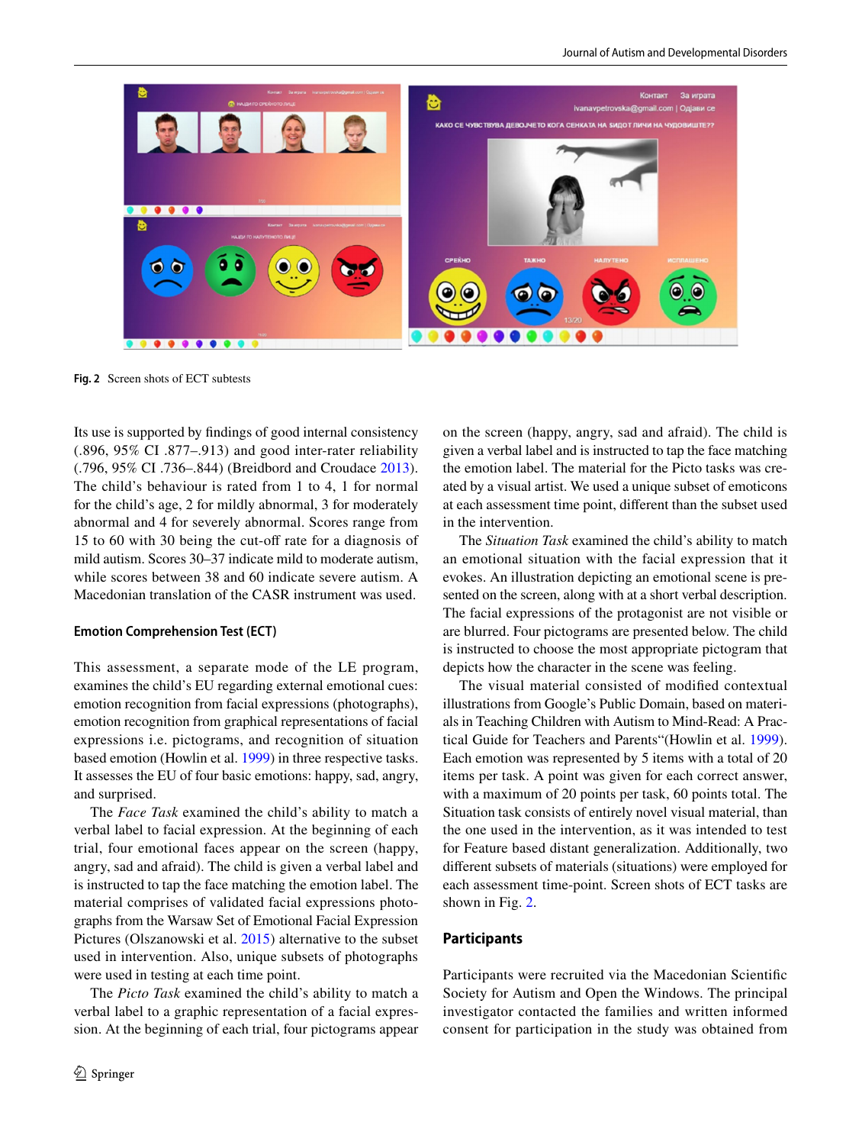

**Fig. 2** Screen shots of ECT subtests

<span id="page-3-0"></span>Its use is supported by fndings of good internal consistency (.896, 95% CI .877–.913) and good inter-rater reliability (.796, 95% CI .736–.844) (Breidbord and Croudace [2013](#page-10-19)). The child's behaviour is rated from 1 to 4, 1 for normal for the child's age, 2 for mildly abnormal, 3 for moderately abnormal and 4 for severely abnormal. Scores range from 15 to 60 with 30 being the cut-off rate for a diagnosis of mild autism. Scores 30–37 indicate mild to moderate autism, while scores between 38 and 60 indicate severe autism. A Macedonian translation of the CASR instrument was used.

#### **Emotion Comprehension Test (ECT)**

This assessment, a separate mode of the LE program, examines the child's EU regarding external emotional cues: emotion recognition from facial expressions (photographs), emotion recognition from graphical representations of facial expressions i.e. pictograms, and recognition of situation based emotion (Howlin et al. [1999\)](#page-10-8) in three respective tasks. It assesses the EU of four basic emotions: happy, sad, angry, and surprised.

The *Face Task* examined the child's ability to match a verbal label to facial expression. At the beginning of each trial, four emotional faces appear on the screen (happy, angry, sad and afraid). The child is given a verbal label and is instructed to tap the face matching the emotion label. The material comprises of validated facial expressions photographs from the Warsaw Set of Emotional Facial Expression Pictures (Olszanowski et al. [2015\)](#page-11-9) alternative to the subset used in intervention. Also, unique subsets of photographs were used in testing at each time point.

The *Picto Task* examined the child's ability to match a verbal label to a graphic representation of a facial expression. At the beginning of each trial, four pictograms appear on the screen (happy, angry, sad and afraid). The child is given a verbal label and is instructed to tap the face matching the emotion label. The material for the Picto tasks was created by a visual artist. We used a unique subset of emoticons at each assessment time point, diferent than the subset used in the intervention.

The *Situation Task* examined the child's ability to match an emotional situation with the facial expression that it evokes. An illustration depicting an emotional scene is presented on the screen, along with at a short verbal description. The facial expressions of the protagonist are not visible or are blurred. Four pictograms are presented below. The child is instructed to choose the most appropriate pictogram that depicts how the character in the scene was feeling.

The visual material consisted of modifed contextual illustrations from Google's Public Domain, based on materials in Teaching Children with Autism to Mind-Read: A Practical Guide for Teachers and Parents"(Howlin et al. [1999](#page-10-8)). Each emotion was represented by 5 items with a total of 20 items per task. A point was given for each correct answer, with a maximum of 20 points per task, 60 points total. The Situation task consists of entirely novel visual material, than the one used in the intervention, as it was intended to test for Feature based distant generalization. Additionally, two diferent subsets of materials (situations) were employed for each assessment time-point. Screen shots of ECT tasks are shown in Fig. [2](#page-3-0).

## **Participants**

Participants were recruited via the Macedonian Scientifc Society for Autism and Open the Windows. The principal investigator contacted the families and written informed consent for participation in the study was obtained from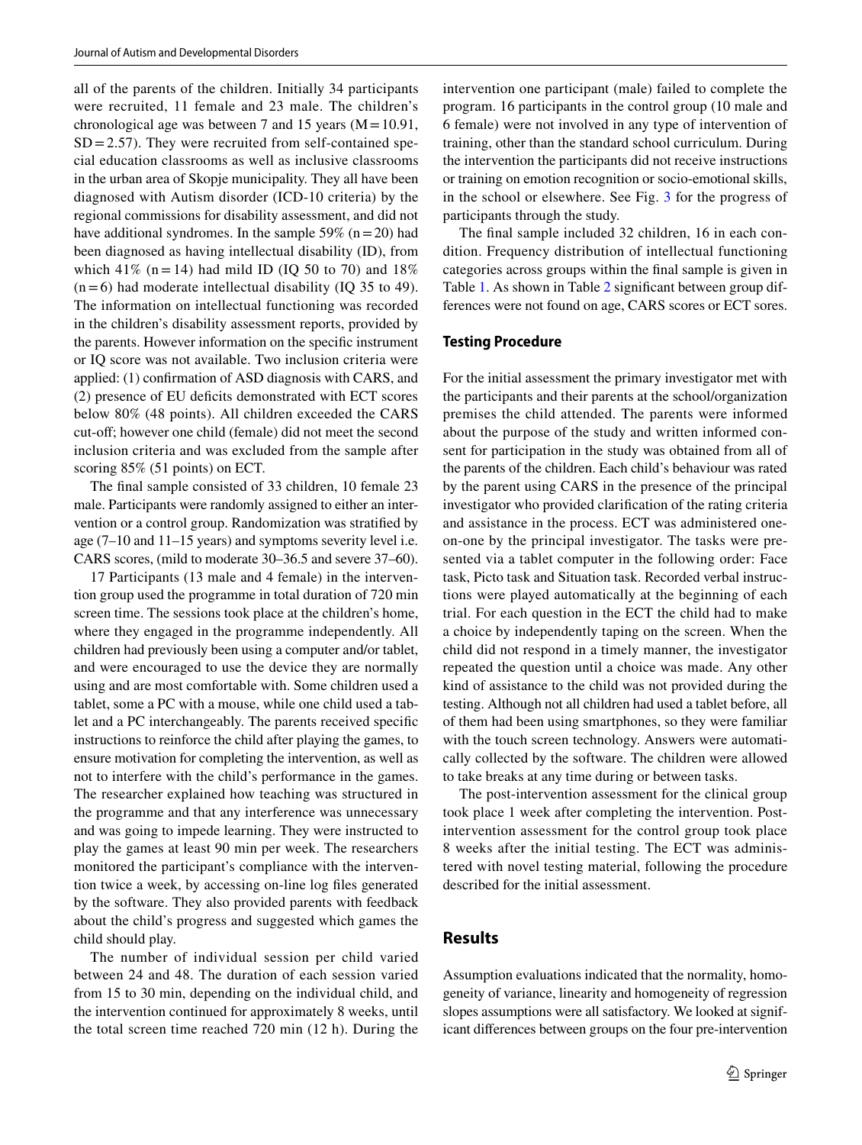all of the parents of the children. Initially 34 participants were recruited, 11 female and 23 male. The children's chronological age was between 7 and 15 years  $(M=10.91,$  $SD = 2.57$ . They were recruited from self-contained special education classrooms as well as inclusive classrooms in the urban area of Skopje municipality. They all have been diagnosed with Autism disorder (ICD-10 criteria) by the regional commissions for disability assessment, and did not have additional syndromes. In the sample 59% ( $n=20$ ) had been diagnosed as having intellectual disability (ID), from which 41% (n = 14) had mild ID (IQ 50 to 70) and  $18\%$  $(n=6)$  had moderate intellectual disability (IQ 35 to 49). The information on intellectual functioning was recorded in the children's disability assessment reports, provided by the parents. However information on the specifc instrument or IQ score was not available. Two inclusion criteria were applied: (1) confrmation of ASD diagnosis with CARS, and (2) presence of EU defcits demonstrated with ECT scores below 80% (48 points). All children exceeded the CARS cut-of; however one child (female) did not meet the second inclusion criteria and was excluded from the sample after scoring 85% (51 points) on ECT.

The fnal sample consisted of 33 children, 10 female 23 male. Participants were randomly assigned to either an intervention or a control group. Randomization was stratifed by age (7–10 and 11–15 years) and symptoms severity level i.e. CARS scores, (mild to moderate 30–36.5 and severe 37–60).

17 Participants (13 male and 4 female) in the intervention group used the programme in total duration of 720 min screen time. The sessions took place at the children's home, where they engaged in the programme independently. All children had previously been using a computer and/or tablet, and were encouraged to use the device they are normally using and are most comfortable with. Some children used a tablet, some a PC with a mouse, while one child used a tablet and a PC interchangeably. The parents received specifc instructions to reinforce the child after playing the games, to ensure motivation for completing the intervention, as well as not to interfere with the child's performance in the games. The researcher explained how teaching was structured in the programme and that any interference was unnecessary and was going to impede learning. They were instructed to play the games at least 90 min per week. The researchers monitored the participant's compliance with the intervention twice a week, by accessing on-line log fles generated by the software. They also provided parents with feedback about the child's progress and suggested which games the child should play.

The number of individual session per child varied between 24 and 48. The duration of each session varied from 15 to 30 min, depending on the individual child, and the intervention continued for approximately 8 weeks, until the total screen time reached 720 min (12 h). During the intervention one participant (male) failed to complete the program. 16 participants in the control group (10 male and 6 female) were not involved in any type of intervention of training, other than the standard school curriculum. During the intervention the participants did not receive instructions or training on emotion recognition or socio-emotional skills, in the school or elsewhere. See Fig. [3](#page-5-0) for the progress of participants through the study.

The fnal sample included 32 children, 16 in each condition. Frequency distribution of intellectual functioning categories across groups within the fnal sample is given in Table [1.](#page-5-1) As shown in Table [2](#page-5-2) signifcant between group differences were not found on age, CARS scores or ECT sores.

#### **Testing Procedure**

For the initial assessment the primary investigator met with the participants and their parents at the school/organization premises the child attended. The parents were informed about the purpose of the study and written informed consent for participation in the study was obtained from all of the parents of the children. Each child's behaviour was rated by the parent using CARS in the presence of the principal investigator who provided clarifcation of the rating criteria and assistance in the process. ECT was administered oneon-one by the principal investigator. The tasks were presented via a tablet computer in the following order: Face task, Picto task and Situation task. Recorded verbal instructions were played automatically at the beginning of each trial. For each question in the ECT the child had to make a choice by independently taping on the screen. When the child did not respond in a timely manner, the investigator repeated the question until a choice was made. Any other kind of assistance to the child was not provided during the testing. Although not all children had used a tablet before, all of them had been using smartphones, so they were familiar with the touch screen technology. Answers were automatically collected by the software. The children were allowed to take breaks at any time during or between tasks.

The post-intervention assessment for the clinical group took place 1 week after completing the intervention. Postintervention assessment for the control group took place 8 weeks after the initial testing. The ECT was administered with novel testing material, following the procedure described for the initial assessment.

## **Results**

Assumption evaluations indicated that the normality, homogeneity of variance, linearity and homogeneity of regression slopes assumptions were all satisfactory. We looked at significant diferences between groups on the four pre-intervention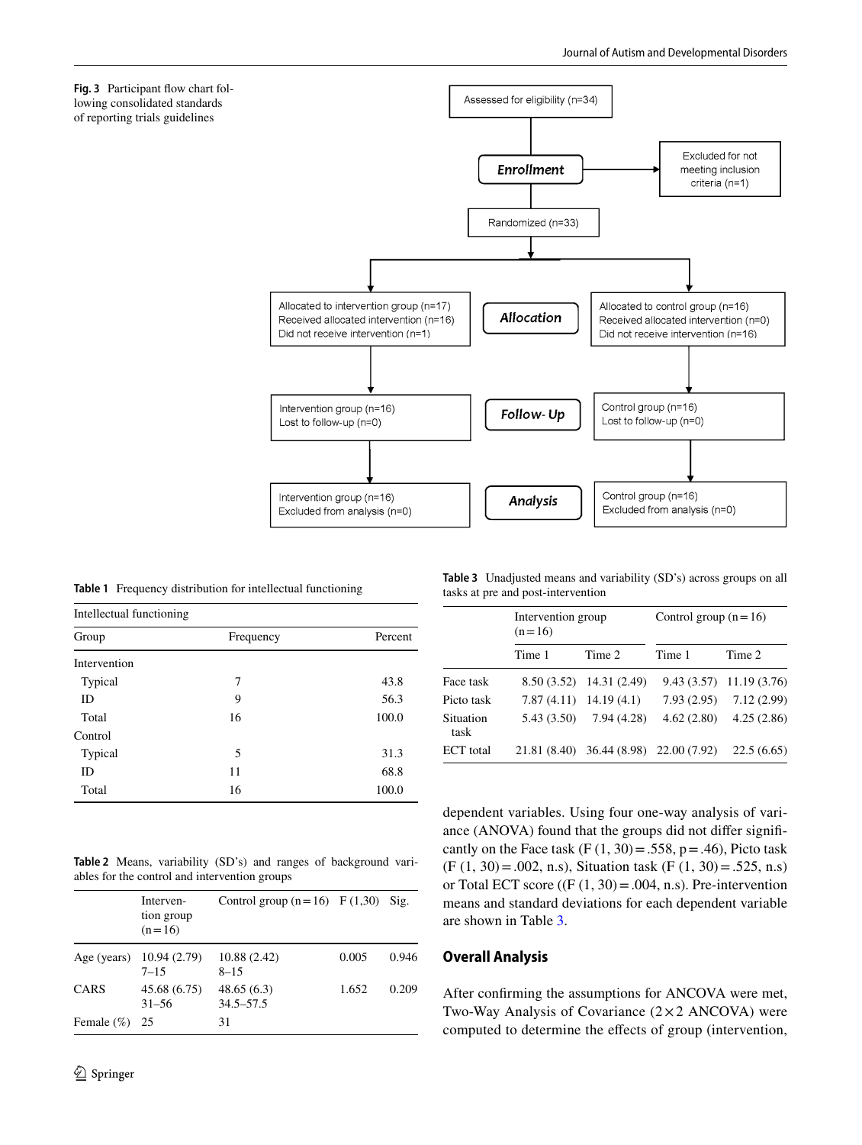<span id="page-5-0"></span>

<span id="page-5-1"></span>**Table 1** Frequency distribution for intellectual functioning

| Intellectual functioning |           |         |  |  |
|--------------------------|-----------|---------|--|--|
| Group                    | Frequency | Percent |  |  |
| Intervention             |           |         |  |  |
| Typical                  | 7         | 43.8    |  |  |
| ID                       | 9         | 56.3    |  |  |
| Total                    | 16        | 100.0   |  |  |
| Control                  |           |         |  |  |
| Typical                  | 5         | 31.3    |  |  |
| ID                       | 11        | 68.8    |  |  |
| Total                    | 16        | 100.0   |  |  |

<span id="page-5-2"></span>**Table 2** Means, variability (SD's) and ranges of background variables for the control and intervention groups

|               | Interven-<br>tion group<br>$(n=16)$ | Control group $(n=16)$ F $(1,30)$ |       | Sig.  |
|---------------|-------------------------------------|-----------------------------------|-------|-------|
| Age (years)   | 10.94(2.79)<br>$7 - 15$             | 10.88 (2.42)<br>$8 - 15$          | 0.005 | 0.946 |
| CARS          | 45.68 (6.75)<br>$31 - 56$           | 48.65(6.3)<br>$34.5 - 57.5$       | 1.652 | 0.209 |
| Female $(\%)$ | 25                                  | 31                                |       |       |

<span id="page-5-3"></span>**Table 3** Unadjusted means and variability (SD's) across groups on all tasks at pre and post-intervention

|                   | Intervention group<br>$(n=16)$ |                                        | Control group $(n=16)$ |                           |  |
|-------------------|--------------------------------|----------------------------------------|------------------------|---------------------------|--|
|                   | Time 1                         | Time 2                                 | Time 1                 | Time 2                    |  |
| Face task         |                                | 8.50 (3.52) 14.31 (2.49)               |                        | $9.43(3.57)$ 11.19 (3.76) |  |
| Picto task        |                                | $7.87(4.11)$ 14.19 (4.1)               | 7.93(2.95)             | 7.12(2.99)                |  |
| Situation<br>task | 5.43 (3.50)                    | 7.94(4.28)                             | 4.62(2.80)             | 4.25(2.86)                |  |
| ECT total         |                                | 21.81 (8.40) 36.44 (8.98) 22.00 (7.92) |                        | 22.5(6.65)                |  |

dependent variables. Using four one-way analysis of variance (ANOVA) found that the groups did not difer signifcantly on the Face task  $(F (1, 30) = .558, p = .46)$ , Picto task  $(F (1, 30) = .002, n.s)$ , Situation task  $(F (1, 30) = .525, n.s)$ or Total ECT score  $((F(1, 30) = .004, n.s).$  Pre-intervention means and standard deviations for each dependent variable are shown in Table [3.](#page-5-3)

## **Overall Analysis**

After confrming the assumptions for ANCOVA were met, Two-Way Analysis of Covariance (2×2 ANCOVA) were computed to determine the efects of group (intervention,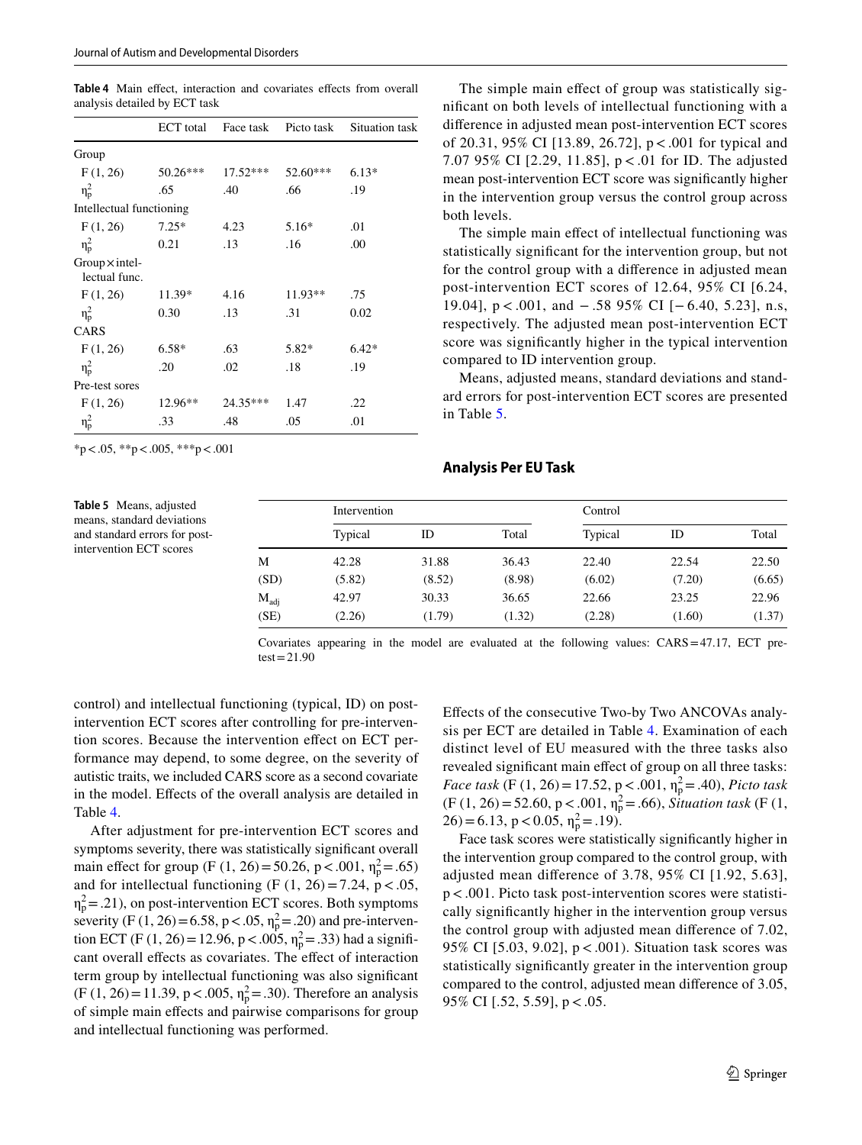<span id="page-6-0"></span>Table 4 Main effect, interaction and covariates effects from overall analysis detailed by ECT task

|                                        | <b>ECT</b> total | Face task  | Picto task | Situation task |
|----------------------------------------|------------------|------------|------------|----------------|
| Group                                  |                  |            |            |                |
| F(1, 26)                               | 50.26***         | $17.52***$ | 52.60***   | $6.13*$        |
| $\eta_p^2$                             | .65              | .40        | .66        | .19            |
| Intellectual functioning               |                  |            |            |                |
| F(1, 26)                               | $7.25*$          | 4.23       | $5.16*$    | .01            |
| $\eta_p^2$                             | 0.21             | .13        | .16        | .00            |
| $Group \times intel-$<br>lectual func. |                  |            |            |                |
| F(1, 26)                               | 11.39*           | 4.16       | $11.93**$  | .75            |
| $\eta_p^2$                             | 0.30             | .13        | .31        | 0.02           |
| CARS                                   |                  |            |            |                |
| F(1, 26)                               | $6.58*$          | .63        | 5.82*      | $6.42*$        |
| $\eta_{\rm p}^2$                       | .20              | .02        | .18        | .19            |
| Pre-test sores                         |                  |            |            |                |
| F(1, 26)                               | 12.96**          | $24.35***$ | 1.47       | .22            |
| $\eta_p^2$                             | .33              | .48        | .05        | .01            |

 $*p < .05, **p < .005, **p < .001$ 

<span id="page-6-1"></span>**Table 5** Means, adjusted means, standard deviations and standard errors for postintervention ECT scores

The simple main effect of group was statistically signifcant on both levels of intellectual functioning with a diference in adjusted mean post-intervention ECT scores of 20.31, 95% CI [13.89, 26.72], p<.001 for typical and 7.07 95% CI [2.29, 11.85], p < .01 for ID. The adjusted mean post-intervention ECT score was signifcantly higher in the intervention group versus the control group across both levels.

The simple main effect of intellectual functioning was statistically signifcant for the intervention group, but not for the control group with a diference in adjusted mean post-intervention ECT scores of 12.64, 95% CI [6.24, 19.04], p < .001, and − .58 95% CI [− 6.40, 5.23], n.s, respectively. The adjusted mean post-intervention ECT score was signifcantly higher in the typical intervention compared to ID intervention group.

Means, adjusted means, standard deviations and standard errors for post-intervention ECT scores are presented in Table [5.](#page-6-1)

#### **Analysis Per EU Task**

|                  | Intervention |        |        | Control |        |        |
|------------------|--------------|--------|--------|---------|--------|--------|
|                  | Typical      | ID     | Total  | Typical | ID     | Total  |
| M                | 42.28        | 31.88  | 36.43  | 22.40   | 22.54  | 22.50  |
| (SD)             | (5.82)       | (8.52) | (8.98) | (6.02)  | (7.20) | (6.65) |
| $M_{\text{adj}}$ | 42.97        | 30.33  | 36.65  | 22.66   | 23.25  | 22.96  |
| (SE)             | (2.26)       | (1.79) | (1.32) | (2.28)  | (1.60) | (1.37) |

Covariates appearing in the model are evaluated at the following values: CARS=47.17, ECT pre $test = 21.90$ 

control) and intellectual functioning (typical, ID) on postintervention ECT scores after controlling for pre-intervention scores. Because the intervention efect on ECT performance may depend, to some degree, on the severity of autistic traits, we included CARS score as a second covariate in the model. Efects of the overall analysis are detailed in Table [4](#page-6-0).

After adjustment for pre-intervention ECT scores and symptoms severity, there was statistically signifcant overall main effect for group (F (1, 26) = 50.26, p < .001,  $\eta_p^2$  = .65) and for intellectual functioning (F  $(1, 26) = 7.24$ , p < .05,  $\eta_p^2$  = .21), on post-intervention ECT scores. Both symptoms severity (F (1, 26)=6.58, p < .05,  $\eta_p^2 = .20$ ) and pre-intervention ECT (F (1, 26) = 12.96, p < .005,  $\eta_p^2$  = .33) had a significant overall effects as covariates. The effect of interaction term group by intellectual functioning was also signifcant  $(F (1, 26) = 11.39, p < .005, \eta_p^2 = .30)$ . Therefore an analysis of simple main efects and pairwise comparisons for group and intellectual functioning was performed.

Efects of the consecutive Two-by Two ANCOVAs analysis per ECT are detailed in Table [4.](#page-6-0) Examination of each distinct level of EU measured with the three tasks also revealed signifcant main efect of group on all three tasks: *Face task* (F (1, 26) = 17.52,  $p < .001$ ,  $n_p^2 = .40$ ), *Picto task*  $(F (1, 26) = 52.60, p < .001, \eta_p^2 = .66)$ , *Situation task* (F (1,  $26) = 6.13$ ,  $p < 0.05$ ,  $\eta_p^2 = .19$ ).

Face task scores were statistically signifcantly higher in the intervention group compared to the control group, with adjusted mean diference of 3.78, 95% CI [1.92, 5.63], p<.001. Picto task post-intervention scores were statistically signifcantly higher in the intervention group versus the control group with adjusted mean diference of 7.02, 95% CI [5.03, 9.02], p<.001). Situation task scores was statistically signifcantly greater in the intervention group compared to the control, adjusted mean diference of 3.05, 95% CI [.52, 5.59], p<.05.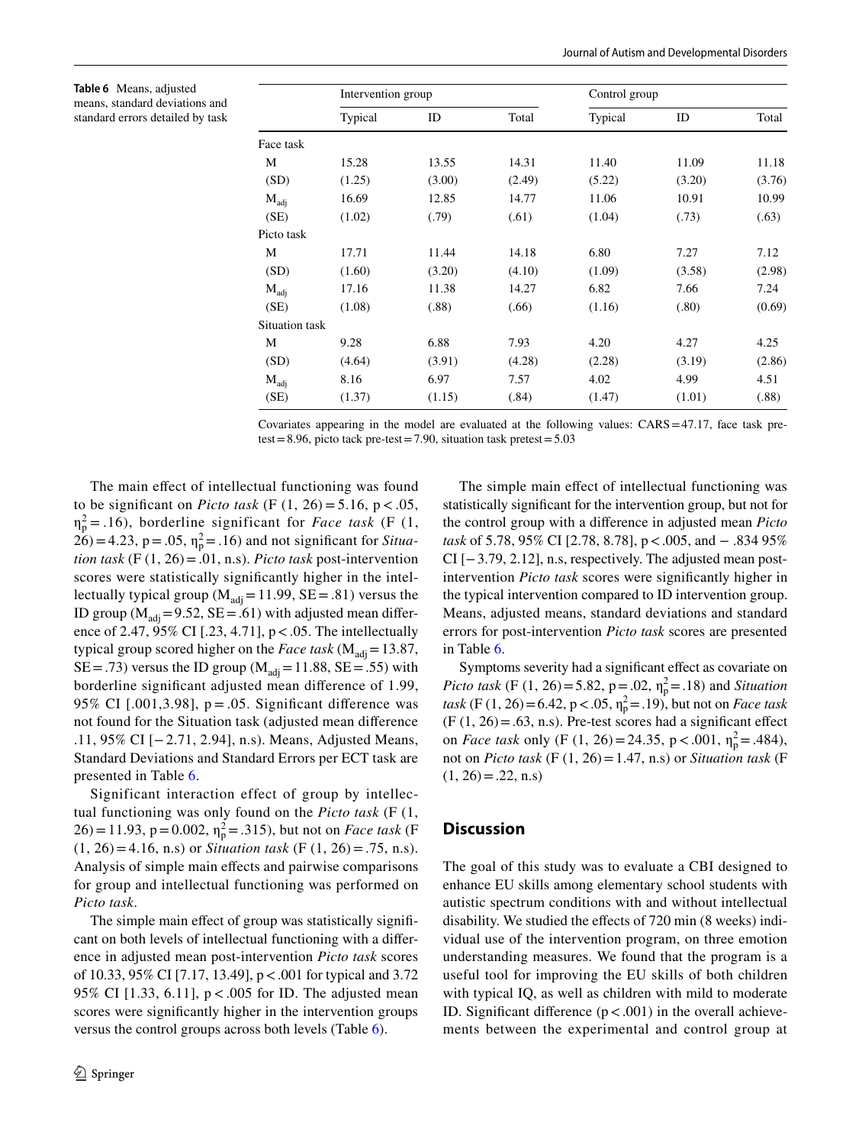<span id="page-7-0"></span>**Table 6** Means, adjusted means, standard deviations and standard errors detailed by task

|                  | Intervention group |        |        | Control group |        |        |
|------------------|--------------------|--------|--------|---------------|--------|--------|
|                  | Typical            | ID     | Total  | Typical       | ID     | Total  |
| Face task        |                    |        |        |               |        |        |
| М                | 15.28              | 13.55  | 14.31  | 11.40         | 11.09  | 11.18  |
| (SD)             | (1.25)             | (3.00) | (2.49) | (5.22)        | (3.20) | (3.76) |
| $M_{\text{adi}}$ | 16.69              | 12.85  | 14.77  | 11.06         | 10.91  | 10.99  |
| (SE)             | (1.02)             | (.79)  | (.61)  | (1.04)        | (.73)  | (.63)  |
| Picto task       |                    |        |        |               |        |        |
| М                | 17.71              | 11.44  | 14.18  | 6.80          | 7.27   | 7.12   |
| (SD)             | (1.60)             | (3.20) | (4.10) | (1.09)        | (3.58) | (2.98) |
| $M_{\text{adj}}$ | 17.16              | 11.38  | 14.27  | 6.82          | 7.66   | 7.24   |
| (SE)             | (1.08)             | (.88)  | (.66)  | (1.16)        | (.80)  | (0.69) |
| Situation task   |                    |        |        |               |        |        |
| M                | 9.28               | 6.88   | 7.93   | 4.20          | 4.27   | 4.25   |
| (SD)             | (4.64)             | (3.91) | (4.28) | (2.28)        | (3.19) | (2.86) |
| $M_{\text{adj}}$ | 8.16               | 6.97   | 7.57   | 4.02          | 4.99   | 4.51   |
| (SE)             | (1.37)             | (1.15) | (.84)  | (1.47)        | (1.01) | (.88)  |

Covariates appearing in the model are evaluated at the following values: CARS=47.17, face task pretest=8.96, picto tack pre-test=7.90, situation task pretest=5.03

The main effect of intellectual functioning was found to be significant on *Picto task* (F  $(1, 26) = 5.16$ ,  $p < .05$ ,  $\eta_p^2 = .16$ ), borderline significant for *Face task* (F (1,  $26$ ) = 4.23, p = .05,  $\eta_p^2$  = .16) and not significant for *Situation task* (F (1, 26)=.01, n.s). *Picto task* post-intervention scores were statistically signifcantly higher in the intellectually typical group ( $M_{\text{adj}}$ =11.99, SE = .81) versus the ID group ( $M_{\text{adi}}$  = 9.52, SE = .61) with adjusted mean difference of 2.47, 95% CI [.23, 4.71], p<.05. The intellectually typical group scored higher on the *Face task* ( $M_{\text{adi}}$  = 13.87, SE = .73) versus the ID group ( $M_{\text{adj}}$  = 11.88, SE = .55) with borderline signifcant adjusted mean diference of 1.99, 95% CI  $[0.001, 3.98]$ , p = .05. Significant difference was not found for the Situation task (adjusted mean diference .11, 95% CI [−2.71, 2.94], n.s). Means, Adjusted Means, Standard Deviations and Standard Errors per ECT task are presented in Table [6](#page-7-0).

Significant interaction effect of group by intellectual functioning was only found on the *Picto task* (F (1,  $26$ ) = 11.93, p = 0.002,  $\eta_p^2$  = .315), but not on *Face task* (F  $(1, 26) = 4.16$ , n.s) or *Situation task* (F  $(1, 26) = .75$ , n.s). Analysis of simple main efects and pairwise comparisons for group and intellectual functioning was performed on *Picto task*.

The simple main effect of group was statistically significant on both levels of intellectual functioning with a diference in adjusted mean post-intervention *Picto task* scores of 10.33, 95% CI [7.17, 13.49], p<.001 for typical and 3.72 95% CI [1.33, 6.11], p<.005 for ID. The adjusted mean scores were signifcantly higher in the intervention groups versus the control groups across both levels (Table [6](#page-7-0)).

The simple main effect of intellectual functioning was statistically signifcant for the intervention group, but not for the control group with a diference in adjusted mean *Picto task* of 5.78, 95% CI [2.78, 8.78], p<.005, and − .834 95% CI [−3.79, 2.12], n.s, respectively. The adjusted mean postintervention *Picto task* scores were signifcantly higher in the typical intervention compared to ID intervention group. Means, adjusted means, standard deviations and standard errors for post-intervention *Picto task* scores are presented in Table [6.](#page-7-0)

Symptoms severity had a signifcant efect as covariate on *Picto task* (F (1, 26) = 5.82, p = .02,  $\eta_p^2$  = .18) and *Situation*  $task (F (1, 26) = 6.42, p < .05, \eta_p^2 = .19)$ , but not on *Face task*  $(F (1, 26) = .63, n.s)$ . Pre-test scores had a significant effect on *Face task* only (F (1, 26) = 24.35, p < .001,  $\eta_p^2$  = .484), not on *Picto task* (F  $(1, 26) = 1.47$ , n.s) or *Situation task* (F  $(1, 26) = .22$ , n.s)

## **Discussion**

The goal of this study was to evaluate a CBI designed to enhance EU skills among elementary school students with autistic spectrum conditions with and without intellectual disability. We studied the efects of 720 min (8 weeks) individual use of the intervention program, on three emotion understanding measures. We found that the program is a useful tool for improving the EU skills of both children with typical IQ, as well as children with mild to moderate ID. Significant difference  $(p < .001)$  in the overall achievements between the experimental and control group at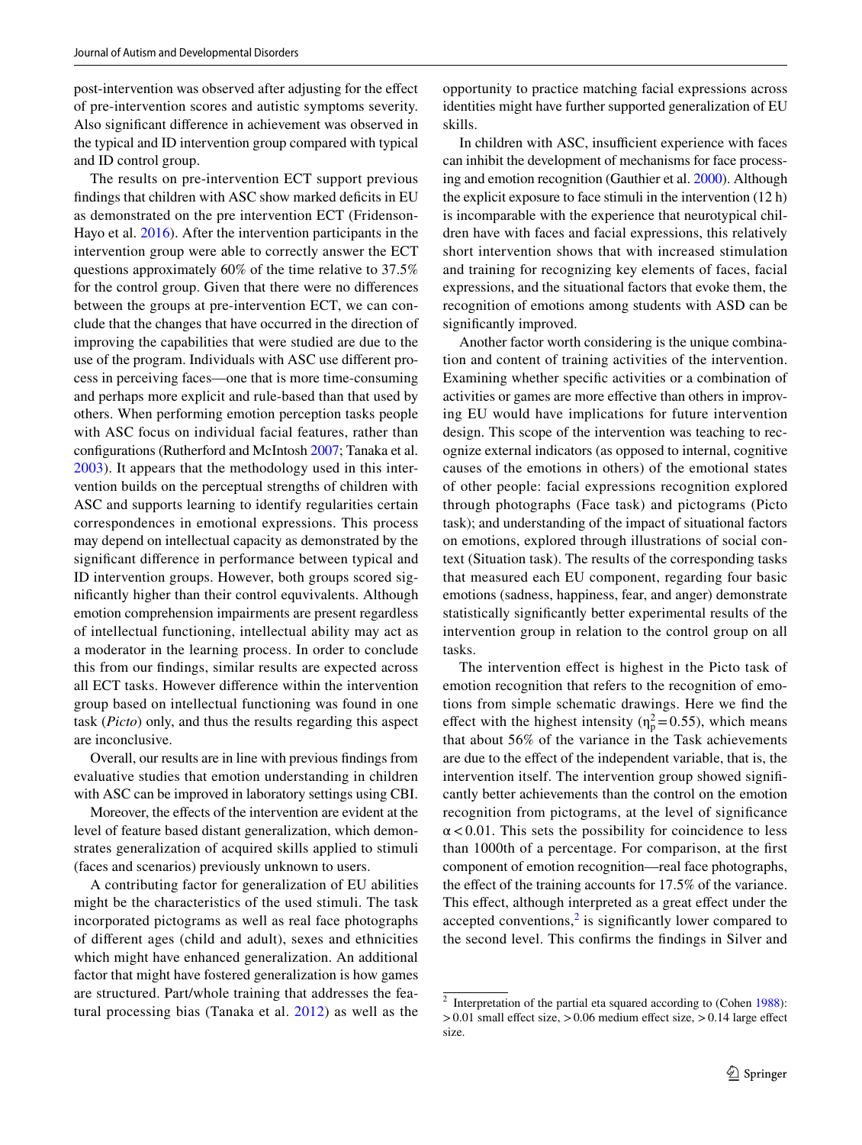post-intervention was observed after adjusting for the efect of pre-intervention scores and autistic symptoms severity. Also signifcant diference in achievement was observed in the typical and ID intervention group compared with typical and ID control group.

The results on pre-intervention ECT support previous findings that children with ASC show marked deficits in EU as demonstrated on the pre intervention ECT (Fridenson-Hayo et al. [2016](#page-10-3)). After the intervention participants in the intervention group were able to correctly answer the ECT questions approximately 60% of the time relative to 37.5% for the control group. Given that there were no diferences between the groups at pre-intervention ECT, we can conclude that the changes that have occurred in the direction of improving the capabilities that were studied are due to the use of the program. Individuals with ASC use diferent process in perceiving faces—one that is more time-consuming and perhaps more explicit and rule-based than that used by others. When performing emotion perception tasks people with ASC focus on individual facial features, rather than confgurations (Rutherford and McIntosh [2007;](#page-11-11) Tanaka et al. [2003\)](#page-11-12). It appears that the methodology used in this intervention builds on the perceptual strengths of children with ASC and supports learning to identify regularities certain correspondences in emotional expressions. This process may depend on intellectual capacity as demonstrated by the signifcant diference in performance between typical and ID intervention groups. However, both groups scored signifcantly higher than their control equvivalents. Although emotion comprehension impairments are present regardless of intellectual functioning, intellectual ability may act as a moderator in the learning process. In order to conclude this from our fndings, similar results are expected across all ECT tasks. However diference within the intervention group based on intellectual functioning was found in one task (*Picto*) only, and thus the results regarding this aspect are inconclusive.

Overall, our results are in line with previous fndings from evaluative studies that emotion understanding in children with ASC can be improved in laboratory settings using CBI.

Moreover, the efects of the intervention are evident at the level of feature based distant generalization, which demonstrates generalization of acquired skills applied to stimuli (faces and scenarios) previously unknown to users.

A contributing factor for generalization of EU abilities might be the characteristics of the used stimuli. The task incorporated pictograms as well as real face photographs of diferent ages (child and adult), sexes and ethnicities which might have enhanced generalization. An additional factor that might have fostered generalization is how games are structured. Part/whole training that addresses the featural processing bias (Tanaka et al. [2012](#page-11-8)) as well as the opportunity to practice matching facial expressions across identities might have further supported generalization of EU skills.

In children with ASC, insufficient experience with faces can inhibit the development of mechanisms for face processing and emotion recognition (Gauthier et al. [2000](#page-10-5)). Although the explicit exposure to face stimuli in the intervention (12 h) is incomparable with the experience that neurotypical children have with faces and facial expressions, this relatively short intervention shows that with increased stimulation and training for recognizing key elements of faces, facial expressions, and the situational factors that evoke them, the recognition of emotions among students with ASD can be signifcantly improved.

Another factor worth considering is the unique combination and content of training activities of the intervention. Examining whether specifc activities or a combination of activities or games are more efective than others in improving EU would have implications for future intervention design. This scope of the intervention was teaching to recognize external indicators (as opposed to internal, cognitive causes of the emotions in others) of the emotional states of other people: facial expressions recognition explored through photographs (Face task) and pictograms (Picto task); and understanding of the impact of situational factors on emotions, explored through illustrations of social context (Situation task). The results of the corresponding tasks that measured each EU component, regarding four basic emotions (sadness, happiness, fear, and anger) demonstrate statistically signifcantly better experimental results of the intervention group in relation to the control group on all tasks.

The intervention efect is highest in the Picto task of emotion recognition that refers to the recognition of emotions from simple schematic drawings. Here we fnd the effect with the highest intensity ( $\eta_p^2 = 0.55$ ), which means that about 56% of the variance in the Task achievements are due to the efect of the independent variable, that is, the intervention itself. The intervention group showed signifcantly better achievements than the control on the emotion recognition from pictograms, at the level of signifcance  $\alpha$ <0.01. This sets the possibility for coincidence to less than 1000th of a percentage. For comparison, at the frst component of emotion recognition—real face photographs, the efect of the training accounts for 17.5% of the variance. This effect, although interpreted as a great effect under the accepted conventions, $<sup>2</sup>$  $<sup>2</sup>$  $<sup>2</sup>$  is significantly lower compared to</sup> the second level. This confrms the fndings in Silver and

<span id="page-8-0"></span><sup>2</sup> Interpretation of the partial eta squared according to (Cohen [1988](#page-10-20)):  $>0.01$  small effect size,  $>0.06$  medium effect size,  $>0.14$  large effect size.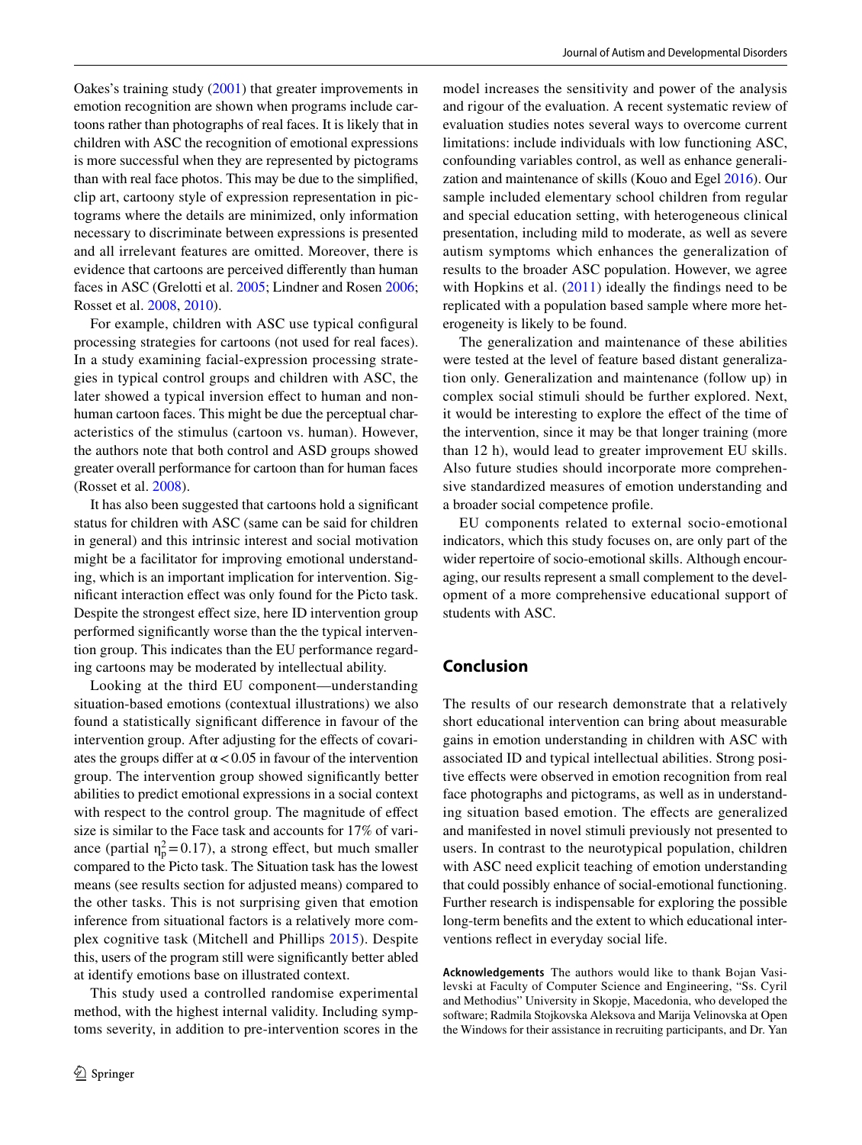Oakes's training study ([2001](#page-11-5)) that greater improvements in emotion recognition are shown when programs include cartoons rather than photographs of real faces. It is likely that in children with ASC the recognition of emotional expressions is more successful when they are represented by pictograms than with real face photos. This may be due to the simplifed, clip art, cartoony style of expression representation in pictograms where the details are minimized, only information necessary to discriminate between expressions is presented and all irrelevant features are omitted. Moreover, there is evidence that cartoons are perceived diferently than human faces in ASC (Grelotti et al. [2005;](#page-10-21) Lindner and Rosen [2006](#page-10-22); Rosset et al. [2008](#page-11-13), [2010](#page-11-14)).

For example, children with ASC use typical confgural processing strategies for cartoons (not used for real faces). In a study examining facial-expression processing strategies in typical control groups and children with ASC, the later showed a typical inversion effect to human and nonhuman cartoon faces. This might be due the perceptual characteristics of the stimulus (cartoon vs. human). However, the authors note that both control and ASD groups showed greater overall performance for cartoon than for human faces (Rosset et al. [2008\)](#page-11-13).

It has also been suggested that cartoons hold a signifcant status for children with ASC (same can be said for children in general) and this intrinsic interest and social motivation might be a facilitator for improving emotional understanding, which is an important implication for intervention. Signifcant interaction efect was only found for the Picto task. Despite the strongest effect size, here ID intervention group performed signifcantly worse than the the typical intervention group. This indicates than the EU performance regarding cartoons may be moderated by intellectual ability.

Looking at the third EU component—understanding situation-based emotions (contextual illustrations) we also found a statistically signifcant diference in favour of the intervention group. After adjusting for the effects of covariates the groups differ at  $\alpha$  < 0.05 in favour of the intervention group. The intervention group showed signifcantly better abilities to predict emotional expressions in a social context with respect to the control group. The magnitude of efect size is similar to the Face task and accounts for 17% of variance (partial  $\eta_p^2 = 0.17$ ), a strong effect, but much smaller compared to the Picto task. The Situation task has the lowest means (see results section for adjusted means) compared to the other tasks. This is not surprising given that emotion inference from situational factors is a relatively more complex cognitive task (Mitchell and Phillips [2015](#page-10-23)). Despite this, users of the program still were signifcantly better abled at identify emotions base on illustrated context.

This study used a controlled randomise experimental method, with the highest internal validity. Including symptoms severity, in addition to pre-intervention scores in the

model increases the sensitivity and power of the analysis and rigour of the evaluation. A recent systematic review of evaluation studies notes several ways to overcome current limitations: include individuals with low functioning ASC, confounding variables control, as well as enhance generalization and maintenance of skills (Kouo and Egel [2016\)](#page-10-7). Our sample included elementary school children from regular and special education setting, with heterogeneous clinical presentation, including mild to moderate, as well as severe autism symptoms which enhances the generalization of results to the broader ASC population. However, we agree with Hopkins et al.  $(2011)$  $(2011)$  $(2011)$  ideally the findings need to be replicated with a population based sample where more heterogeneity is likely to be found.

The generalization and maintenance of these abilities were tested at the level of feature based distant generalization only. Generalization and maintenance (follow up) in complex social stimuli should be further explored. Next, it would be interesting to explore the efect of the time of the intervention, since it may be that longer training (more than 12 h), would lead to greater improvement EU skills. Also future studies should incorporate more comprehensive standardized measures of emotion understanding and a broader social competence profle.

EU components related to external socio-emotional indicators, which this study focuses on, are only part of the wider repertoire of socio-emotional skills. Although encouraging, our results represent a small complement to the development of a more comprehensive educational support of students with ASC.

# **Conclusion**

The results of our research demonstrate that a relatively short educational intervention can bring about measurable gains in emotion understanding in children with ASC with associated ID and typical intellectual abilities. Strong positive effects were observed in emotion recognition from real face photographs and pictograms, as well as in understanding situation based emotion. The efects are generalized and manifested in novel stimuli previously not presented to users. In contrast to the neurotypical population, children with ASC need explicit teaching of emotion understanding that could possibly enhance of social-emotional functioning. Further research is indispensable for exploring the possible long-term benefts and the extent to which educational interventions refect in everyday social life.

**Acknowledgements** The authors would like to thank Bojan Vasilevski at Faculty of Computer Science and Engineering, "Ss. Cyril and Methodius" University in Skopje, Macedonia, who developed the software; Radmila Stojkovska Aleksova and Marija Velinovska at Open the Windows for their assistance in recruiting participants, and Dr. Yan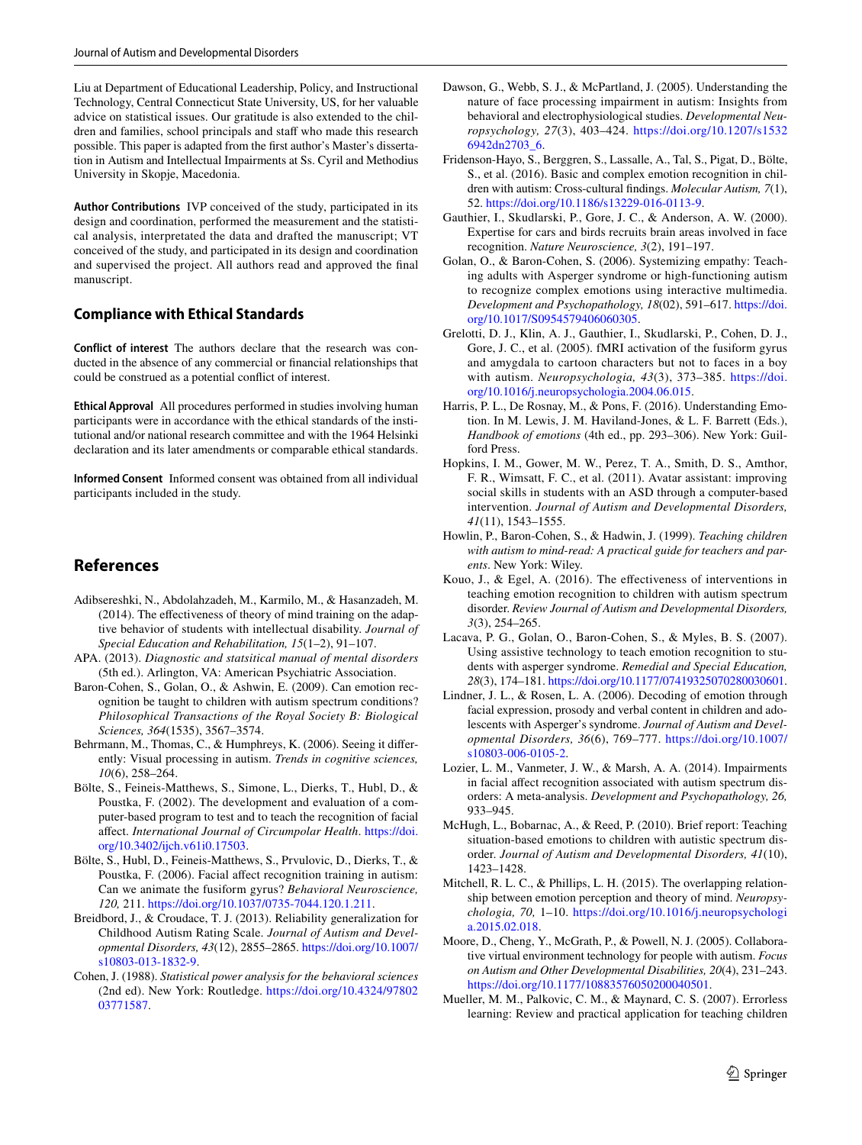Liu at Department of Educational Leadership, Policy, and Instructional Technology, Central Connecticut State University, US, for her valuable advice on statistical issues. Our gratitude is also extended to the children and families, school principals and staff who made this research possible. This paper is adapted from the frst author's Master's dissertation in Autism and Intellectual Impairments at Ss. Cyril and Methodius University in Skopje, Macedonia.

**Author Contributions** IVP conceived of the study, participated in its design and coordination, performed the measurement and the statistical analysis, interpretated the data and drafted the manuscript; VT conceived of the study, and participated in its design and coordination and supervised the project. All authors read and approved the fnal manuscript.

## **Compliance with Ethical Standards**

**Conflict of interest** The authors declare that the research was conducted in the absence of any commercial or fnancial relationships that could be construed as a potential confict of interest.

**Ethical Approval** All procedures performed in studies involving human participants were in accordance with the ethical standards of the institutional and/or national research committee and with the 1964 Helsinki declaration and its later amendments or comparable ethical standards.

**Informed Consent** Informed consent was obtained from all individual participants included in the study.

# **References**

- <span id="page-10-9"></span>Adibsereshki, N., Abdolahzadeh, M., Karmilo, M., & Hasanzadeh, M. (2014). The effectiveness of theory of mind training on the adaptive behavior of students with intellectual disability. *Journal of Special Education and Rehabilitation, 15*(1–2), 91–107.
- <span id="page-10-1"></span>APA. (2013). *Diagnostic and statsitical manual of mental disorders* (5th ed.). Arlington, VA: American Psychiatric Association.
- <span id="page-10-6"></span>Baron-Cohen, S., Golan, O., & Ashwin, E. (2009). Can emotion recognition be taught to children with autism spectrum conditions? *Philosophical Transactions of the Royal Society B: Biological Sciences, 364*(1535), 3567–3574.
- <span id="page-10-16"></span>Behrmann, M., Thomas, C., & Humphreys, K. (2006). Seeing it diferently: Visual processing in autism. *Trends in cognitive sciences, 10*(6), 258–264.
- <span id="page-10-15"></span>Bölte, S., Feineis-Matthews, S., Simone, L., Dierks, T., Hubl, D., & Poustka, F. (2002). The development and evaluation of a computer-based program to test and to teach the recognition of facial afect. *International Journal of Circumpolar Health*. [https://doi.](https://doi.org/10.3402/ijch.v61i0.17503) [org/10.3402/ijch.v61i0.17503.](https://doi.org/10.3402/ijch.v61i0.17503)
- <span id="page-10-10"></span>Bölte, S., Hubl, D., Feineis-Matthews, S., Prvulovic, D., Dierks, T., & Poustka, F. (2006). Facial affect recognition training in autism: Can we animate the fusiform gyrus? *Behavioral Neuroscience, 120,* 211.<https://doi.org/10.1037/0735-7044.120.1.211>.
- <span id="page-10-19"></span>Breidbord, J., & Croudace, T. J. (2013). Reliability generalization for Childhood Autism Rating Scale. *Journal of Autism and Developmental Disorders, 43*(12), 2855–2865. [https://doi.org/10.1007/](https://doi.org/10.1007/s10803-013-1832-9) [s10803-013-1832-9.](https://doi.org/10.1007/s10803-013-1832-9)
- <span id="page-10-20"></span>Cohen, J. (1988). *Statistical power analysis for the behavioral sciences* (2nd ed). New York: Routledge. [https://doi.org/10.4324/97802](https://doi.org/10.4324/9780203771587) [03771587](https://doi.org/10.4324/9780203771587).
- <span id="page-10-4"></span>Dawson, G., Webb, S. J., & McPartland, J. (2005). Understanding the nature of face processing impairment in autism: Insights from behavioral and electrophysiological studies. *Developmental Neuropsychology, 27*(3), 403–424. [https://doi.org/10.1207/s1532](https://doi.org/10.1207/s15326942dn2703_6) [6942dn2703\\_6.](https://doi.org/10.1207/s15326942dn2703_6)
- <span id="page-10-3"></span>Fridenson-Hayo, S., Berggren, S., Lassalle, A., Tal, S., Pigat, D., Bölte, S., et al. (2016). Basic and complex emotion recognition in children with autism: Cross-cultural fndings. *Molecular Autism, 7*(1), 52. [https://doi.org/10.1186/s13229-016-0113-9.](https://doi.org/10.1186/s13229-016-0113-9)
- <span id="page-10-5"></span>Gauthier, I., Skudlarski, P., Gore, J. C., & Anderson, A. W. (2000). Expertise for cars and birds recruits brain areas involved in face recognition. *Nature Neuroscience, 3*(2), 191–197.
- <span id="page-10-14"></span>Golan, O., & Baron-Cohen, S. (2006). Systemizing empathy: Teaching adults with Asperger syndrome or high-functioning autism to recognize complex emotions using interactive multimedia. *Development and Psychopathology, 18*(02), 591–617. [https://doi.](https://doi.org/10.1017/S0954579406060305) [org/10.1017/S0954579406060305.](https://doi.org/10.1017/S0954579406060305)
- <span id="page-10-21"></span>Grelotti, D. J., Klin, A. J., Gauthier, I., Skudlarski, P., Cohen, D. J., Gore, J. C., et al. (2005). fMRI activation of the fusiform gyrus and amygdala to cartoon characters but not to faces in a boy with autism. *Neuropsychologia, 43*(3), 373–385. [https://doi.](https://doi.org/10.1016/j.neuropsychologia.2004.06.015) [org/10.1016/j.neuropsychologia.2004.06.015.](https://doi.org/10.1016/j.neuropsychologia.2004.06.015)
- <span id="page-10-0"></span>Harris, P. L., De Rosnay, M., & Pons, F. (2016). Understanding Emotion. In M. Lewis, J. M. Haviland-Jones, & L. F. Barrett (Eds.), *Handbook of emotions* (4th ed., pp. 293–306). New York: Guilford Press.
- <span id="page-10-13"></span>Hopkins, I. M., Gower, M. W., Perez, T. A., Smith, D. S., Amthor, F. R., Wimsatt, F. C., et al. (2011). Avatar assistant: improving social skills in students with an ASD through a computer-based intervention. *Journal of Autism and Developmental Disorders, 41*(11), 1543–1555.
- <span id="page-10-8"></span>Howlin, P., Baron-Cohen, S., & Hadwin, J. (1999). *Teaching children with autism to mind-read: A practical guide for teachers and parents*. New York: Wiley.
- <span id="page-10-7"></span>Kouo, J., & Egel, A. (2016). The efectiveness of interventions in teaching emotion recognition to children with autism spectrum disorder. *Review Journal of Autism and Developmental Disorders, 3*(3), 254–265.
- <span id="page-10-11"></span>Lacava, P. G., Golan, O., Baron-Cohen, S., & Myles, B. S. (2007). Using assistive technology to teach emotion recognition to students with asperger syndrome. *Remedial and Special Education, 28*(3), 174–181.<https://doi.org/10.1177/07419325070280030601>.
- <span id="page-10-22"></span>Lindner, J. L., & Rosen, L. A. (2006). Decoding of emotion through facial expression, prosody and verbal content in children and adolescents with Asperger's syndrome. *Journal of Autism and Developmental Disorders, 36*(6), 769–777. [https://doi.org/10.1007/](https://doi.org/10.1007/s10803-006-0105-2) [s10803-006-0105-2.](https://doi.org/10.1007/s10803-006-0105-2)
- <span id="page-10-2"></span>Lozier, L. M., Vanmeter, J. W., & Marsh, A. A. (2014). Impairments in facial affect recognition associated with autism spectrum disorders: A meta-analysis. *Development and Psychopathology, 26,* 933–945.
- <span id="page-10-12"></span>McHugh, L., Bobarnac, A., & Reed, P. (2010). Brief report: Teaching situation-based emotions to children with autistic spectrum disorder. *Journal of Autism and Developmental Disorders, 41*(10), 1423–1428.
- <span id="page-10-23"></span>Mitchell, R. L. C., & Phillips, L. H. (2015). The overlapping relationship between emotion perception and theory of mind. *Neuropsychologia, 70,* 1–10. [https://doi.org/10.1016/j.neuropsychologi](https://doi.org/10.1016/j.neuropsychologia.2015.02.018) [a.2015.02.018](https://doi.org/10.1016/j.neuropsychologia.2015.02.018).
- <span id="page-10-18"></span>Moore, D., Cheng, Y., McGrath, P., & Powell, N. J. (2005). Collaborative virtual environment technology for people with autism. *Focus on Autism and Other Developmental Disabilities, 20*(4), 231–243. <https://doi.org/10.1177/10883576050200040501>.
- <span id="page-10-17"></span>Mueller, M. M., Palkovic, C. M., & Maynard, C. S. (2007). Errorless learning: Review and practical application for teaching children